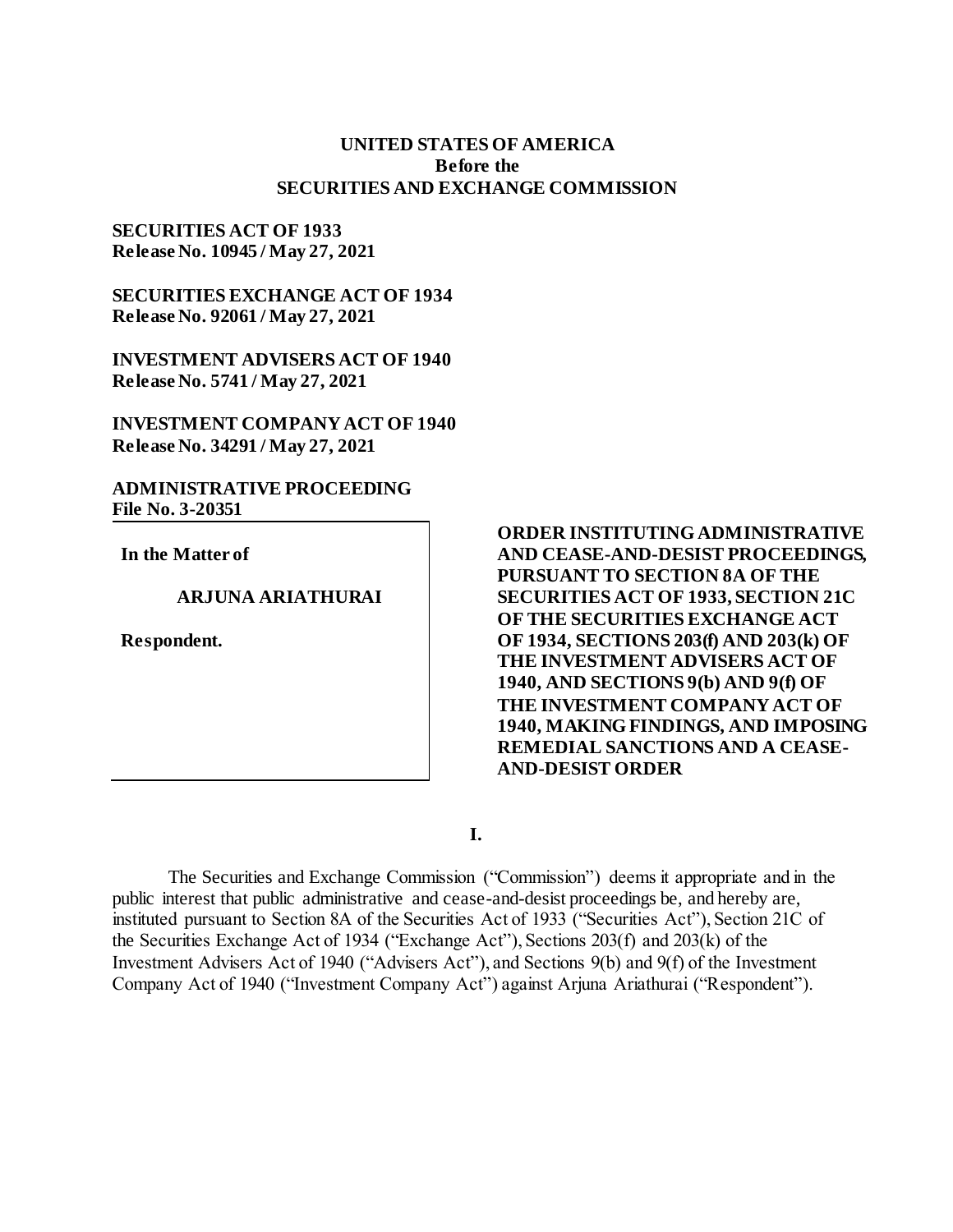# **UNITED STATES OF AMERICA Before the SECURITIES AND EXCHANGE COMMISSION**

## **SECURITIES ACT OF 1933 Release No. 10945 / May 27, 2021**

**SECURITIES EXCHANGE ACT OF 1934 Release No. 92061 / May 27, 2021**

**INVESTMENT ADVISERS ACT OF 1940 Release No. 5741 / May 27, 2021**

**INVESTMENT COMPANY ACT OF 1940 Release No. 34291 / May 27, 2021**

**ADMINISTRATIVE PROCEEDING File No. 3-20351**

**In the Matter of**

## **ARJUNA ARIATHURAI**

**Respondent.**

**ORDER INSTITUTING ADMINISTRATIVE AND CEASE-AND-DESIST PROCEEDINGS, PURSUANT TO SECTION 8A OF THE SECURITIES ACT OF 1933, SECTION 21C OF THE SECURITIES EXCHANGE ACT OF 1934, SECTIONS 203(f) AND 203(k) OF THE INVESTMENT ADVISERS ACT OF 1940, AND SECTIONS 9(b) AND 9(f) OF THE INVESTMENT COMPANY ACT OF 1940, MAKING FINDINGS, AND IMPOSING REMEDIAL SANCTIONS AND A CEASE-AND-DESIST ORDER**

**I.**

The Securities and Exchange Commission ("Commission") deems it appropriate and in the public interest that public administrative and cease-and-desist proceedings be, and hereby are, instituted pursuant to Section 8A of the Securities Act of 1933 ("Securities Act"), Section 21C of the Securities Exchange Act of 1934 ("Exchange Act"), Sections 203(f) and 203(k) of the Investment Advisers Act of 1940 ("Advisers Act"), and Sections 9(b) and 9(f) of the Investment Company Act of 1940 ("Investment Company Act") against Arjuna Ariathurai ("Respondent").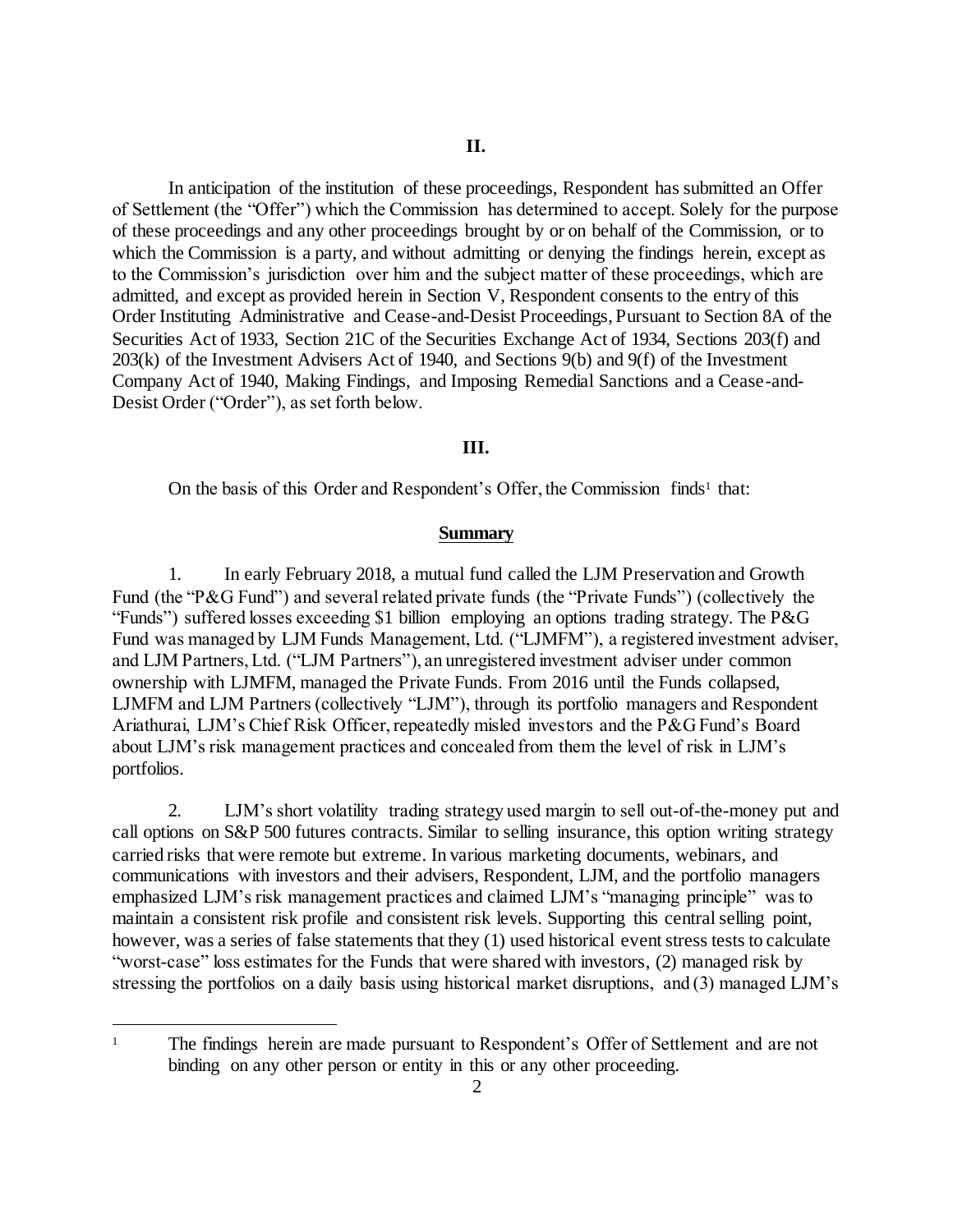In anticipation of the institution of these proceedings, Respondent has submitted an Offer of Settlement (the "Offer") which the Commission has determined to accept. Solely for the purpose of these proceedings and any other proceedings brought by or on behalf of the Commission, or to which the Commission is a party, and without admitting or denying the findings herein, except as to the Commission's jurisdiction over him and the subject matter of these proceedings, which are admitted, and except as provided herein in Section V, Respondent consents to the entry of this Order Instituting Administrative and Cease-and-Desist Proceedings, Pursuant to Section 8A of the Securities Act of 1933, Section 21C of the Securities Exchange Act of 1934, Sections 203(f) and 203(k) of the Investment Advisers Act of 1940, and Sections 9(b) and 9(f) of the Investment Company Act of 1940, Making Findings, and Imposing Remedial Sanctions and a Cease-and-Desist Order ("Order"), as set forth below.

### **III.**

On the basis of this Order and Respondent's Offer, the Commission finds<sup>1</sup> that:

#### **Summary**

1. In early February 2018, a mutual fund called the LJM Preservation and Growth Fund (the "P&G Fund") and several related private funds (the "Private Funds") (collectively the "Funds") suffered losses exceeding \$1 billion employing an options trading strategy. The P&G Fund was managed by LJM Funds Management, Ltd. ("LJMFM"), a registered investment adviser, and LJM Partners, Ltd. ("LJM Partners"), an unregistered investment adviser under common ownership with LJMFM, managed the Private Funds. From 2016 until the Funds collapsed, LJMFM and LJM Partners (collectively "LJM"), through its portfolio managers and Respondent Ariathurai, LJM's Chief Risk Officer, repeatedly misled investors and the P&G Fund's Board about LJM's risk management practices and concealed from them the level of risk in LJM's portfolios.

2. LJM's short volatility trading strategy used margin to sell out-of-the-money put and call options on S&P 500 futures contracts. Similar to selling insurance, this option writing strategy carried risks that were remote but extreme. In various marketing documents, webinars, and communications with investors and their advisers, Respondent, LJM, and the portfolio managers emphasized LJM's risk management practices and claimed LJM's "managing principle" was to maintain a consistent risk profile and consistent risk levels. Supporting this central selling point, however, was a series of false statements that they (1) used historical event stress tests to calculate "worst-case" loss estimates for the Funds that were shared with investors, (2) managed risk by stressing the portfolios on a daily basis using historical market disruptions, and (3) managed LJM's

l

<sup>&</sup>lt;sup>1</sup> The findings herein are made pursuant to Respondent's Offer of Settlement and are not binding on any other person or entity in this or any other proceeding.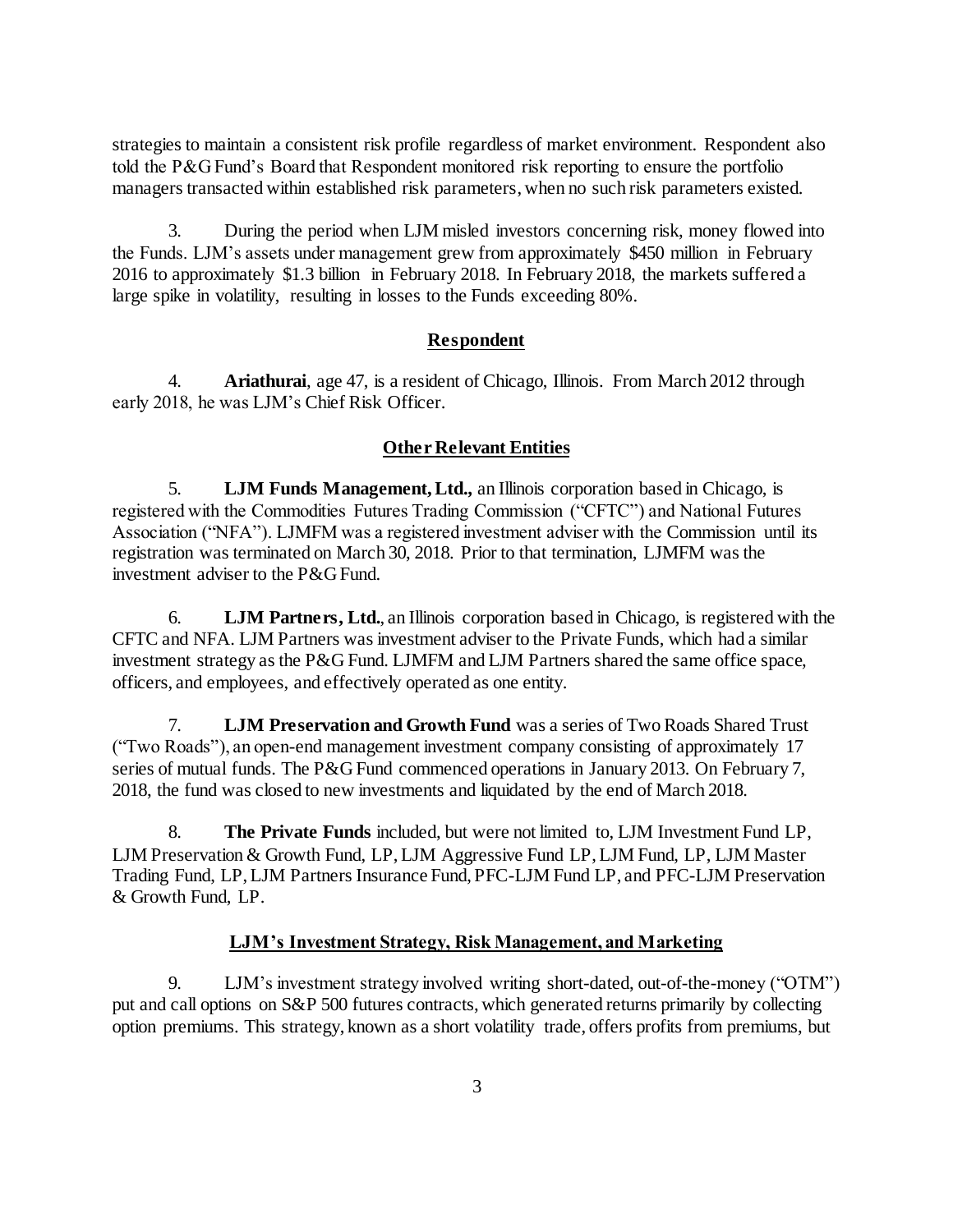strategies to maintain a consistent risk profile regardless of market environment. Respondent also told the P&G Fund's Board that Respondent monitored risk reporting to ensure the portfolio managers transacted within established risk parameters, when no such risk parameters existed.

3. During the period when LJM misled investors concerning risk, money flowed into the Funds. LJM's assets under management grew from approximately \$450 million in February 2016 to approximately \$1.3 billion in February 2018. In February 2018, the markets suffered a large spike in volatility, resulting in losses to the Funds exceeding 80%.

### **Respondent**

4. **Ariathurai**, age 47, is a resident of Chicago, Illinois. From March 2012 through early 2018, he was LJM's Chief Risk Officer.

## **Other Relevant Entities**

5. **LJM Funds Management, Ltd.***,* an Illinois corporation based in Chicago, is registered with the Commodities Futures Trading Commission ("CFTC") and National Futures Association ("NFA"). LJMFM was a registered investment adviser with the Commission until its registration was terminated on March 30, 2018. Prior to that termination, LJMFM was the investment adviser to the P&G Fund.

6. **LJM Partners, Ltd.**, an Illinois corporation based in Chicago, is registered with the CFTC and NFA. LJM Partners was investment adviser to the Private Funds, which had a similar investment strategy as the P&G Fund. LJMFM and LJM Partners shared the same office space, officers, and employees, and effectively operated as one entity.

7. **LJM Preservation and Growth Fund** was a series of Two Roads Shared Trust ("Two Roads"), an open-end management investment company consisting of approximately 17 series of mutual funds. The P&G Fund commenced operations in January 2013. On February 7, 2018, the fund was closed to new investments and liquidated by the end of March 2018.

8. **The Private Funds** included, but were not limited to, LJM Investment Fund LP, LJM Preservation & Growth Fund, LP, LJM Aggressive Fund LP, LJM Fund, LP, LJM Master Trading Fund, LP, LJM Partners Insurance Fund, PFC-LJM Fund LP, and PFC-LJM Preservation & Growth Fund, LP.

### **LJM's Investment Strategy, Risk Management, and Marketing**

9. LJM's investment strategy involved writing short-dated, out-of-the-money ("OTM") put and call options on S&P 500 futures contracts, which generated returns primarily by collecting option premiums. This strategy, known as a short volatility trade, offers profits from premiums, but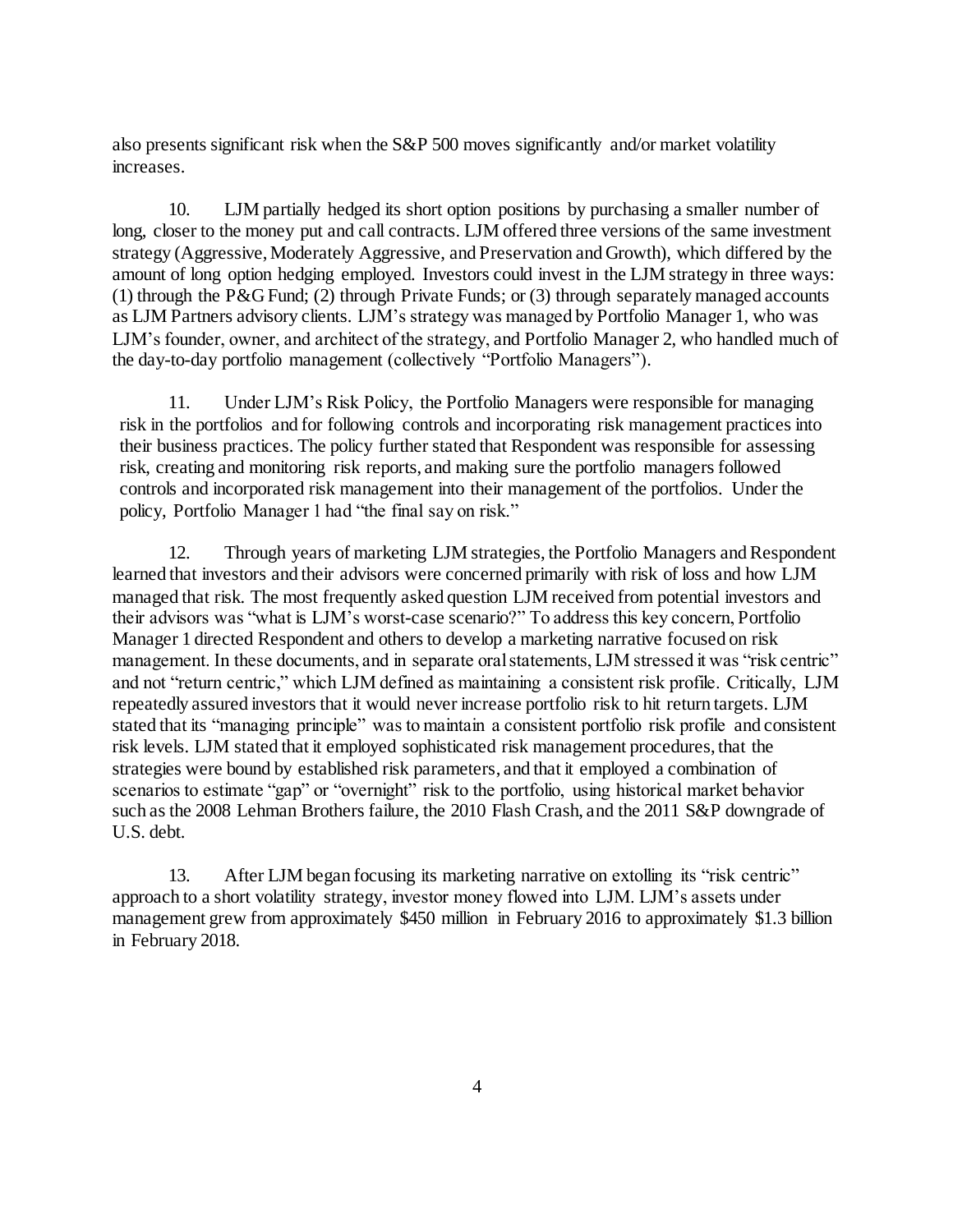also presents significant risk when the S&P 500 moves significantly and/or market volatility increases.

10. LJM partially hedged its short option positions by purchasing a smaller number of long, closer to the money put and call contracts. LJM offered three versions of the same investment strategy (Aggressive, Moderately Aggressive, and Preservation and Growth), which differed by the amount of long option hedging employed. Investors could invest in the LJM strategy in three ways: (1) through the P&G Fund; (2) through Private Funds; or (3) through separately managed accounts as LJM Partners advisory clients. LJM's strategy was managed by Portfolio Manager 1, who was LJM's founder, owner, and architect of the strategy, and Portfolio Manager 2, who handled much of the day-to-day portfolio management (collectively "Portfolio Managers").

11. Under LJM's Risk Policy, the Portfolio Managers were responsible for managing risk in the portfolios and for following controls and incorporating risk management practices into their business practices. The policy further stated that Respondent was responsible for assessing risk, creating and monitoring risk reports, and making sure the portfolio managers followed controls and incorporated risk management into their management of the portfolios. Under the policy, Portfolio Manager 1 had "the final say on risk."

12. Through years of marketing LJM strategies, the Portfolio Managers and Respondent learned that investors and their advisors were concerned primarily with risk of loss and how LJM managed that risk. The most frequently asked question LJM received from potential investors and their advisors was "what is LJM's worst-case scenario?" To address this key concern, Portfolio Manager 1 directed Respondent and others to develop a marketing narrative focused on risk management. In these documents, and in separate oral statements, LJM stressed it was "risk centric" and not "return centric," which LJM defined as maintaining a consistent risk profile. Critically, LJM repeatedly assured investors that it would never increase portfolio risk to hit return targets. LJM stated that its "managing principle" was to maintain a consistent portfolio risk profile and consistent risk levels. LJM stated that it employed sophisticated risk management procedures, that the strategies were bound by established risk parameters, and that it employed a combination of scenarios to estimate "gap" or "overnight" risk to the portfolio, using historical market behavior such as the 2008 Lehman Brothers failure, the 2010 Flash Crash, and the 2011 S&P downgrade of U.S. debt.

13. After LJM began focusing its marketing narrative on extolling its "risk centric" approach to a short volatility strategy, investor money flowed into LJM. LJM's assets under management grew from approximately \$450 million in February 2016 to approximately \$1.3 billion in February 2018.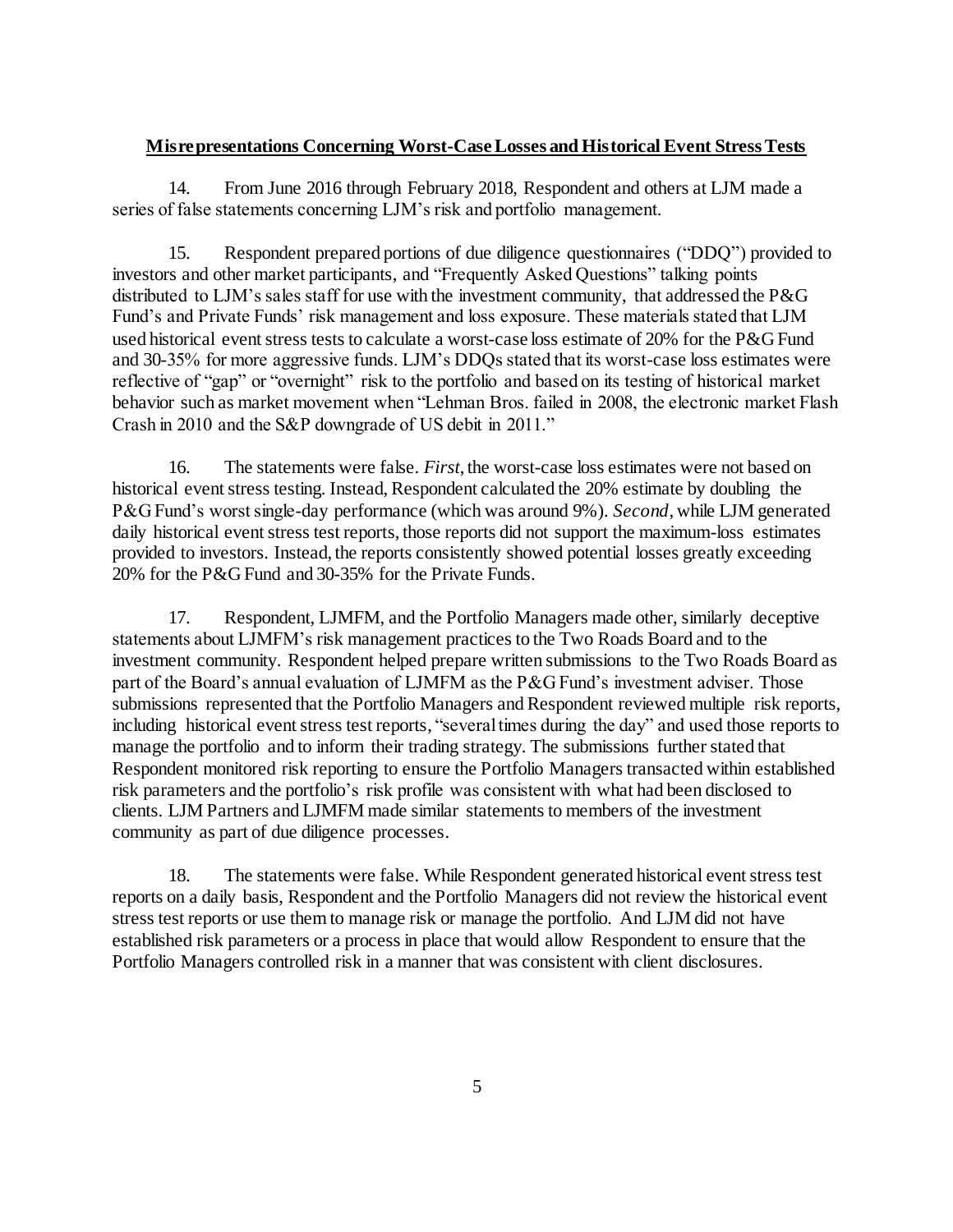# **Misrepresentations Concerning Worst-Case Losses and Historical Event Stress Tests**

14. From June 2016 through February 2018, Respondent and others at LJM made a series of false statements concerning LJM's risk and portfolio management.

15. Respondent prepared portions of due diligence questionnaires ("DDQ") provided to investors and other market participants, and "Frequently Asked Questions" talking points distributed to LJM's sales staff for use with the investment community, that addressed the P&G Fund's and Private Funds' risk management and loss exposure. These materials stated that LJM used historical event stress tests to calculate a worst-case loss estimate of 20% for the P&G Fund and 30-35% for more aggressive funds. LJM's DDQs stated that its worst-case loss estimates were reflective of "gap" or "overnight" risk to the portfolio and based on its testing of historical market behavior such as market movement when "Lehman Bros. failed in 2008, the electronic market Flash Crash in 2010 and the S&P downgrade of US debit in 2011."

16. The statements were false. *First*, the worst-case loss estimates were not based on historical event stress testing. Instead, Respondent calculated the 20% estimate by doubling the P&G Fund's worst single-day performance (which was around 9%). *Second*, while LJM generated daily historical event stress test reports, those reports did not support the maximum-loss estimates provided to investors. Instead, the reports consistently showed potential losses greatly exceeding 20% for the P&G Fund and 30-35% for the Private Funds.

17. Respondent, LJMFM, and the Portfolio Managers made other, similarly deceptive statements about LJMFM's risk management practices to the Two Roads Board and to the investment community. Respondent helped prepare written submissions to the Two Roads Board as part of the Board's annual evaluation of LJMFM as the P&G Fund's investment adviser. Those submissions represented that the Portfolio Managers and Respondent reviewed multiple risk reports, including historical event stress test reports, "several times during the day" and used those reports to manage the portfolio and to inform their trading strategy. The submissions further stated that Respondent monitored risk reporting to ensure the Portfolio Managers transacted within established risk parameters and the portfolio's risk profile was consistent with what had been disclosed to clients. LJM Partners and LJMFM made similar statements to members of the investment community as part of due diligence processes.

18. The statements were false. While Respondent generated historical event stress test reports on a daily basis, Respondent and the Portfolio Managers did not review the historical event stress test reports or use them to manage risk or manage the portfolio. And LJM did not have established risk parameters or a process in place that would allow Respondent to ensure that the Portfolio Managers controlled risk in a manner that was consistent with client disclosures.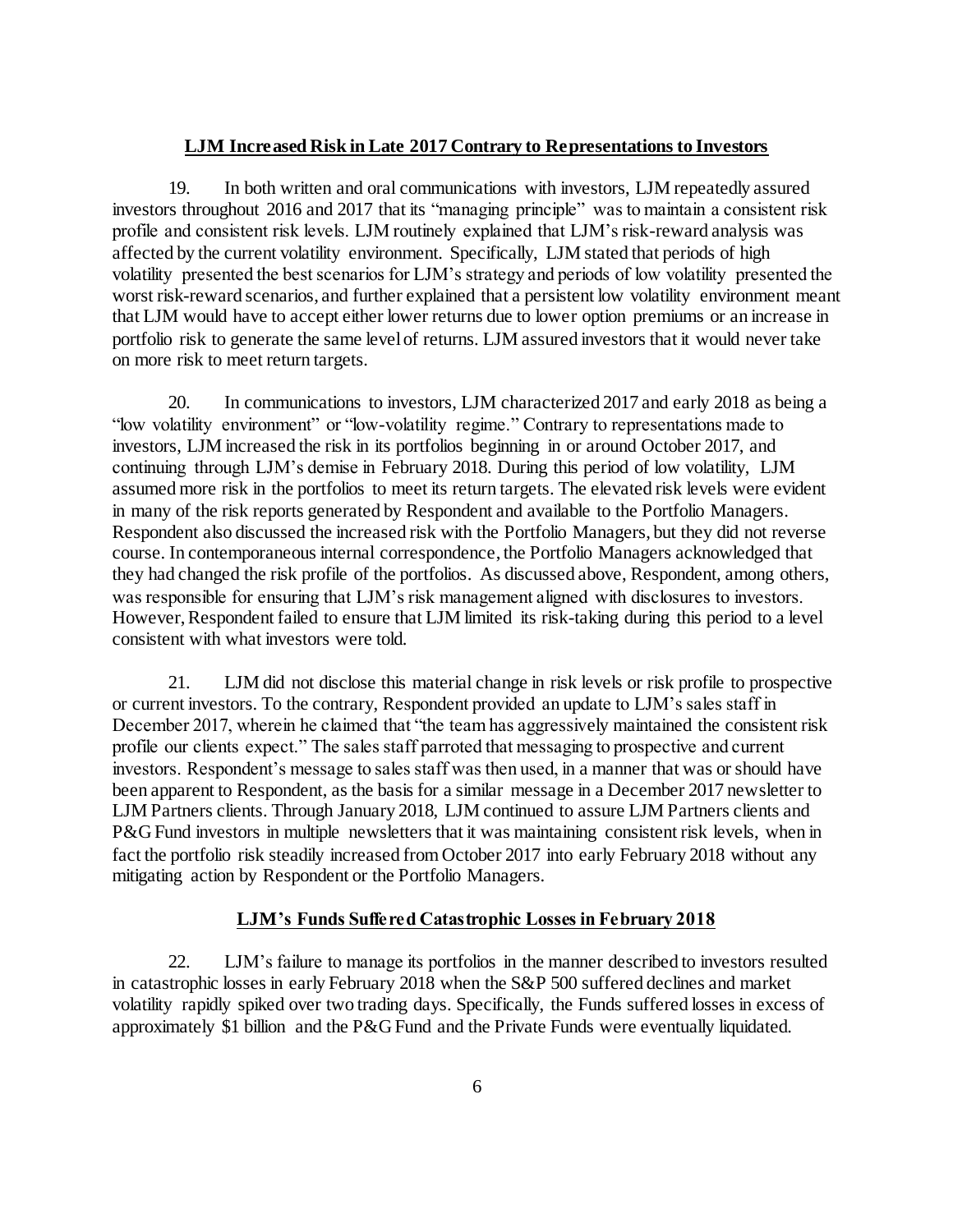### **LJM Increased Risk in Late 2017 Contrary to Representations to Investors**

19. In both written and oral communications with investors, LJM repeatedly assured investors throughout 2016 and 2017 that its "managing principle" was to maintain a consistent risk profile and consistent risk levels. LJM routinely explained that LJM's risk-reward analysis was affected by the current volatility environment. Specifically, LJM stated that periods of high volatility presented the best scenarios for LJM's strategy and periods of low volatility presented the worst risk-reward scenarios, and further explained that a persistent low volatility environment meant that LJM would have to accept either lower returns due to lower option premiums or an increase in portfolio risk to generate the same level of returns. LJM assured investors that it would never take on more risk to meet return targets.

20. In communications to investors, LJM characterized 2017 and early 2018 as being a "low volatility environment" or "low-volatility regime." Contrary to representations made to investors, LJM increased the risk in its portfolios beginning in or around October 2017, and continuing through LJM's demise in February 2018. During this period of low volatility, LJM assumed more risk in the portfolios to meet its return targets. The elevated risk levels were evident in many of the risk reports generated by Respondent and available to the Portfolio Managers. Respondent also discussed the increased risk with the Portfolio Managers, but they did not reverse course. In contemporaneous internal correspondence, the Portfolio Managers acknowledged that they had changed the risk profile of the portfolios. As discussed above, Respondent, among others, was responsible for ensuring that LJM's risk management aligned with disclosures to investors. However, Respondent failed to ensure that LJM limited its risk-taking during this period to a level consistent with what investors were told.

21. LJM did not disclose this material change in risk levels or risk profile to prospective or current investors. To the contrary, Respondent provided an update to LJM's sales staff in December 2017, wherein he claimed that "the team has aggressively maintained the consistent risk profile our clients expect." The sales staff parroted that messaging to prospective and current investors. Respondent's message to sales staff was then used, in a manner that was or should have been apparent to Respondent, as the basis for a similar message in a December 2017 newsletter to LJM Partners clients. Through January 2018, LJM continued to assure LJM Partners clients and P&G Fund investors in multiple newsletters that it was maintaining consistent risk levels, when in fact the portfolio risk steadily increased from October 2017 into early February 2018 without any mitigating action by Respondent or the Portfolio Managers.

### **LJM's Funds Suffered Catastrophic Losses in February 2018**

22. LJM's failure to manage its portfolios in the manner described to investors resulted in catastrophic losses in early February 2018 when the S&P 500 suffered declines and market volatility rapidly spiked over two trading days. Specifically, the Funds suffered losses in excess of approximately \$1 billion and the P&G Fund and the Private Funds were eventually liquidated.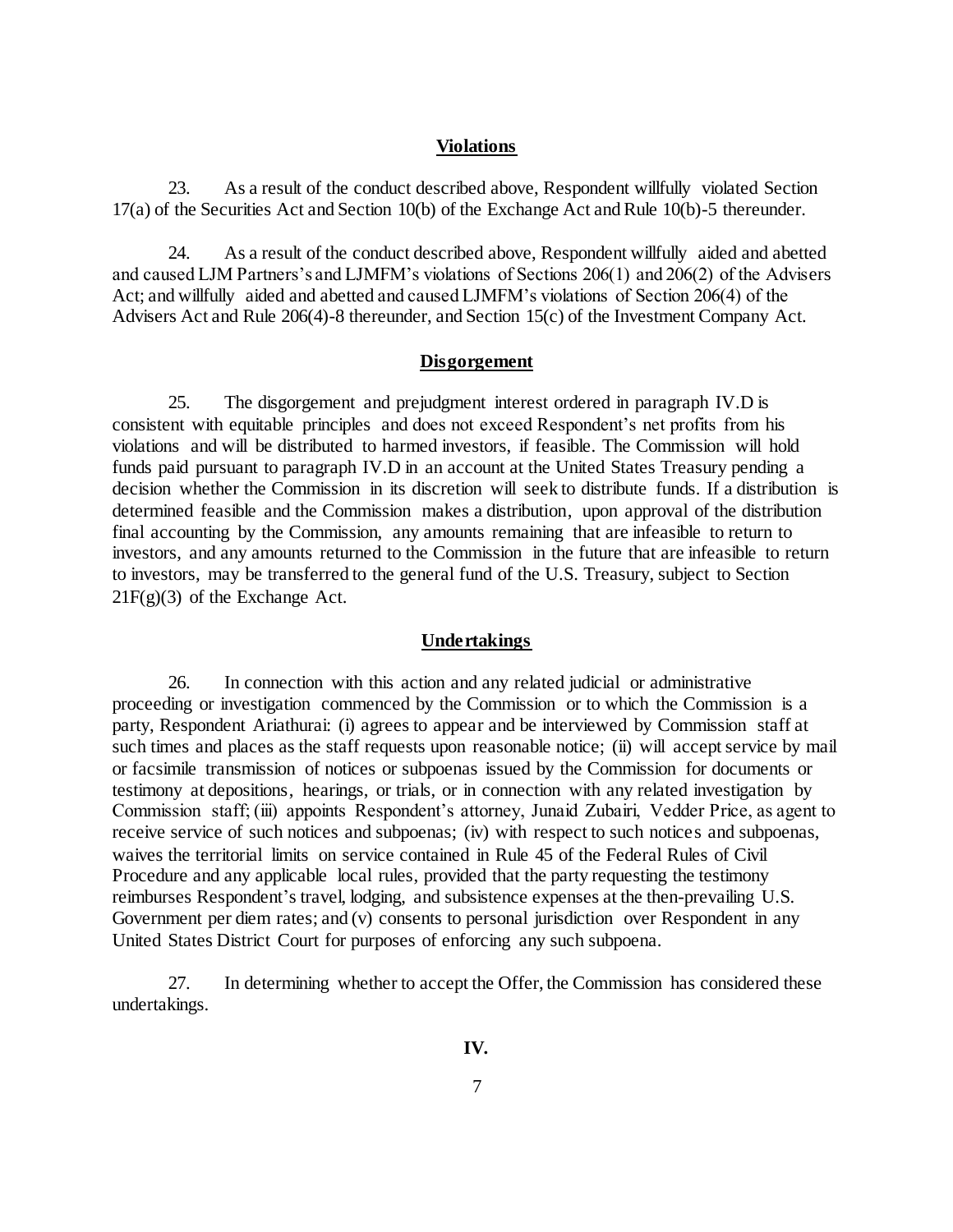#### **Violations**

23. As a result of the conduct described above, Respondent willfully violated Section 17(a) of the Securities Act and Section 10(b) of the Exchange Act and Rule 10(b)-5 thereunder.

24. As a result of the conduct described above, Respondent willfully aided and abetted and caused LJM Partners's and LJMFM's violations of Sections 206(1) and 206(2) of the Advisers Act; and willfully aided and abetted and caused LJMFM's violations of Section 206(4) of the Advisers Act and Rule 206(4)-8 thereunder, and Section 15(c) of the Investment Company Act.

#### **Disgorgement**

25. The disgorgement and prejudgment interest ordered in paragraph IV.D is consistent with equitable principles and does not exceed Respondent's net profits from his violations and will be distributed to harmed investors, if feasible. The Commission will hold funds paid pursuant to paragraph IV.D in an account at the United States Treasury pending a decision whether the Commission in its discretion will seek to distribute funds. If a distribution is determined feasible and the Commission makes a distribution, upon approval of the distribution final accounting by the Commission, any amounts remaining that are infeasible to return to investors, and any amounts returned to the Commission in the future that are infeasible to return to investors, may be transferred to the general fund of the U.S. Treasury, subject to Section  $21F(g)(3)$  of the Exchange Act.

#### **Undertakings**

26. In connection with this action and any related judicial or administrative proceeding or investigation commenced by the Commission or to which the Commission is a party, Respondent Ariathurai: (i) agrees to appear and be interviewed by Commission staff at such times and places as the staff requests upon reasonable notice; (ii) will accept service by mail or facsimile transmission of notices or subpoenas issued by the Commission for documents or testimony at depositions, hearings, or trials, or in connection with any related investigation by Commission staff; (iii) appoints Respondent's attorney, Junaid Zubairi, Vedder Price, as agent to receive service of such notices and subpoenas; (iv) with respect to such notices and subpoenas, waives the territorial limits on service contained in Rule 45 of the Federal Rules of Civil Procedure and any applicable local rules, provided that the party requesting the testimony reimburses Respondent's travel, lodging, and subsistence expenses at the then-prevailing U.S. Government per diem rates; and (v) consents to personal jurisdiction over Respondent in any United States District Court for purposes of enforcing any such subpoena.

27. In determining whether to accept the Offer, the Commission has considered these undertakings.

**IV.**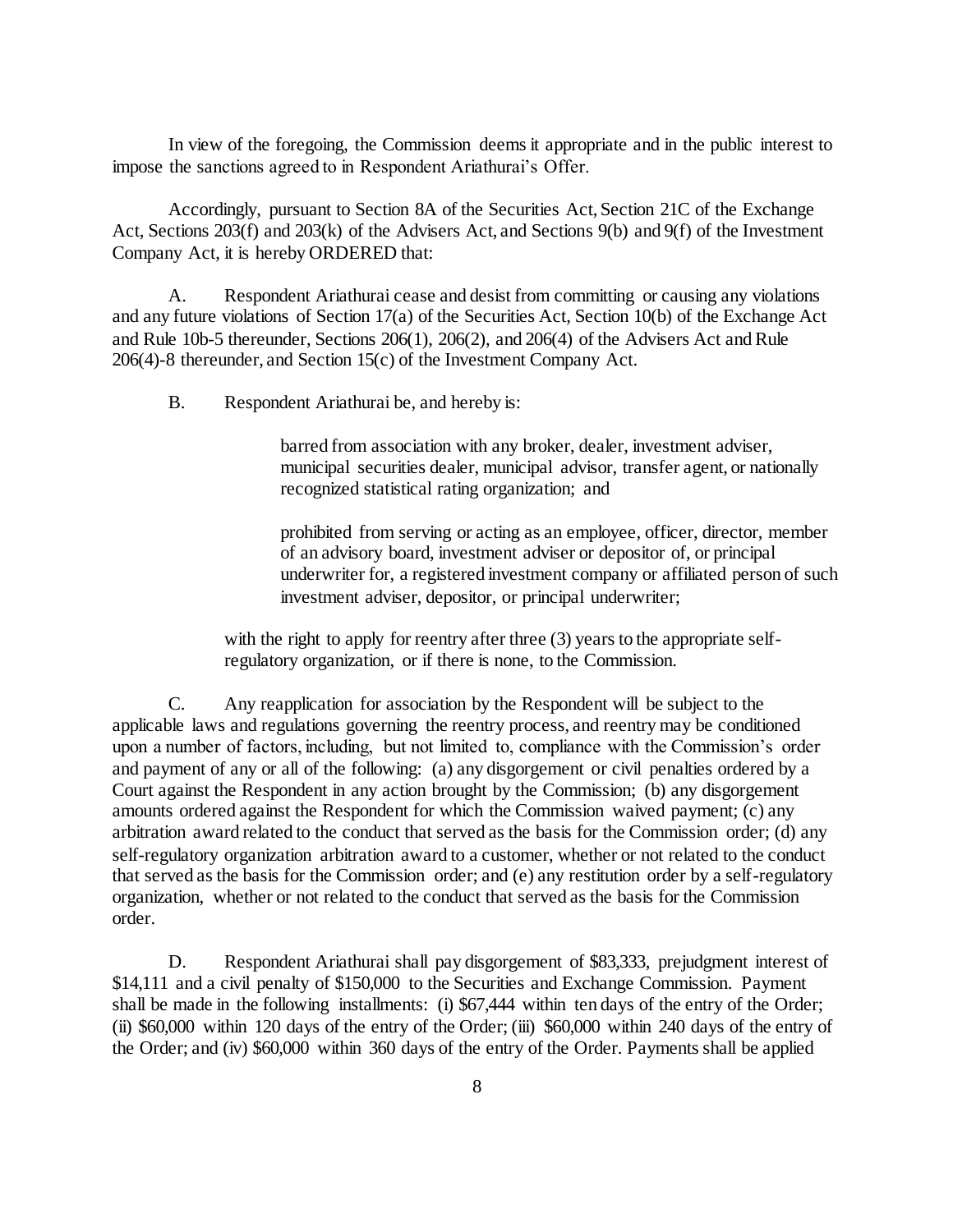In view of the foregoing, the Commission deems it appropriate and in the public interest to impose the sanctions agreed to in Respondent Ariathurai's Offer.

Accordingly, pursuant to Section 8A of the Securities Act, Section 21C of the Exchange Act, Sections 203(f) and 203(k) of the Advisers Act, and Sections 9(b) and 9(f) of the Investment Company Act, it is hereby ORDERED that:

A. Respondent Ariathurai cease and desist from committing or causing any violations and any future violations of Section 17(a) of the Securities Act, Section 10(b) of the Exchange Act and Rule 10b-5 thereunder, Sections 206(1), 206(2), and 206(4) of the Advisers Act and Rule 206(4)-8 thereunder, and Section 15(c) of the Investment Company Act.

B. Respondent Ariathurai be, and hereby is:

barred from association with any broker, dealer, investment adviser, municipal securities dealer, municipal advisor, transfer agent, or nationally recognized statistical rating organization; and

prohibited from serving or acting as an employee, officer, director, member of an advisory board, investment adviser or depositor of, or principal underwriter for, a registered investment company or affiliated person of such investment adviser, depositor, or principal underwriter;

with the right to apply for reentry after three (3) years to the appropriate selfregulatory organization, or if there is none, to the Commission.

C. Any reapplication for association by the Respondent will be subject to the applicable laws and regulations governing the reentry process, and reentry may be conditioned upon a number of factors, including, but not limited to, compliance with the Commission's order and payment of any or all of the following: (a) any disgorgement or civil penalties ordered by a Court against the Respondent in any action brought by the Commission; (b) any disgorgement amounts ordered against the Respondent for which the Commission waived payment; (c) any arbitration award related to the conduct that served as the basis for the Commission order; (d) any self-regulatory organization arbitration award to a customer, whether or not related to the conduct that served as the basis for the Commission order; and (e) any restitution order by a self-regulatory organization, whether or not related to the conduct that served as the basis for the Commission order.

D. Respondent Ariathurai shall pay disgorgement of \$83,333, prejudgment interest of \$14,111 and a civil penalty of \$150,000 to the Securities and Exchange Commission. Payment shall be made in the following installments: (i) \$67,444 within ten days of the entry of the Order; (ii) \$60,000 within 120 days of the entry of the Order; (iii) \$60,000 within 240 days of the entry of the Order; and (iv) \$60,000 within 360 days of the entry of the Order. Payments shall be applied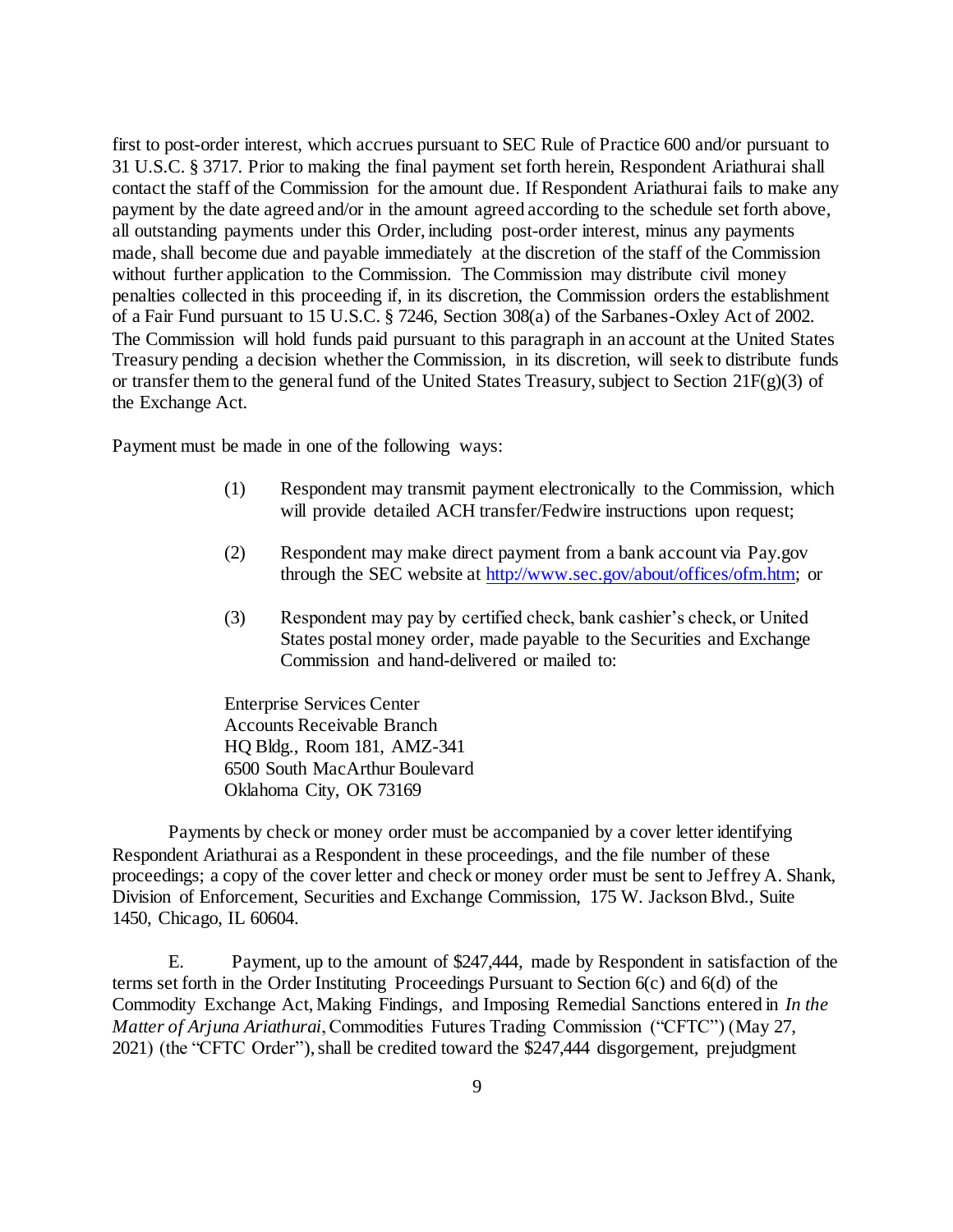first to post-order interest, which accrues pursuant to SEC Rule of Practice 600 and/or pursuant to 31 U.S.C. § 3717. Prior to making the final payment set forth herein, Respondent Ariathurai shall contact the staff of the Commission for the amount due. If Respondent Ariathurai fails to make any payment by the date agreed and/or in the amount agreed according to the schedule set forth above, all outstanding payments under this Order, including post-order interest, minus any payments made, shall become due and payable immediately at the discretion of the staff of the Commission without further application to the Commission. The Commission may distribute civil money penalties collected in this proceeding if, in its discretion, the Commission orders the establishment of a Fair Fund pursuant to 15 U.S.C. § 7246, Section 308(a) of the Sarbanes-Oxley Act of 2002. The Commission will hold funds paid pursuant to this paragraph in an account at the United States Treasury pending a decision whether the Commission, in its discretion, will seek to distribute funds or transfer them to the general fund of the United States Treasury, subject to Section 21F(g)(3) of the Exchange Act.

Payment must be made in one of the following ways:

- (1) Respondent may transmit payment electronically to the Commission, which will provide detailed ACH transfer/Fedwire instructions upon request;
- (2) Respondent may make direct payment from a bank account via Pay.gov through the SEC website a[t http://www.sec.gov/about/offices/ofm.htm;](http://www.sec.gov/about/offices/ofm.htm) or
- (3) Respondent may pay by certified check, bank cashier's check, or United States postal money order, made payable to the Securities and Exchange Commission and hand-delivered or mailed to:

Enterprise Services Center Accounts Receivable Branch HQ Bldg., Room 181, AMZ-341 6500 South MacArthur Boulevard Oklahoma City, OK 73169

Payments by check or money order must be accompanied by a cover letter identifying Respondent Ariathurai as a Respondent in these proceedings, and the file number of these proceedings; a copy of the cover letter and check or money order must be sent to Jeffrey A. Shank, Division of Enforcement, Securities and Exchange Commission, 175 W. Jackson Blvd., Suite 1450, Chicago, IL 60604.

E. Payment, up to the amount of \$247,444, made by Respondent in satisfaction of the terms set forth in the Order Instituting Proceedings Pursuant to Section 6(c) and 6(d) of the Commodity Exchange Act, Making Findings, and Imposing Remedial Sanctions entered in *In the Matter of Arjuna Ariathurai*, Commodities Futures Trading Commission ("CFTC") (May 27, 2021) (the "CFTC Order"), shall be credited toward the \$247,444 disgorgement, prejudgment